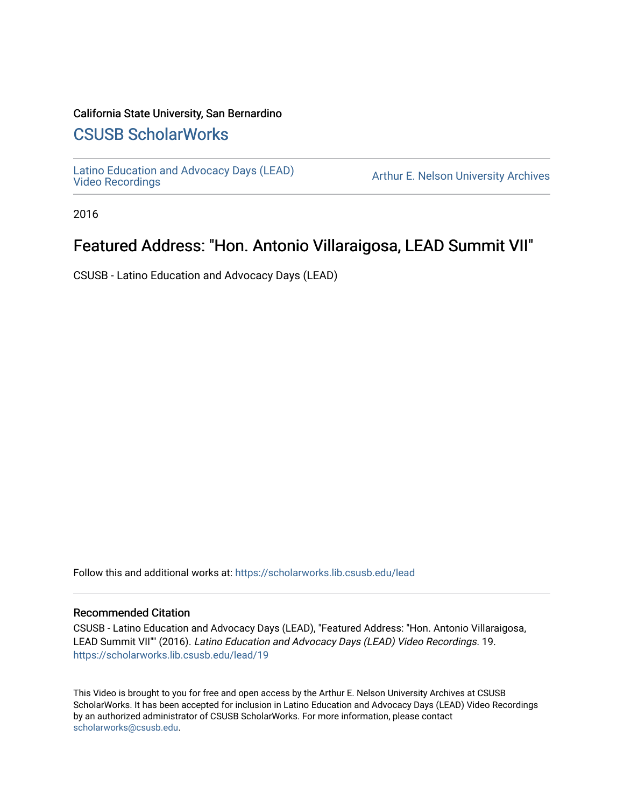#### California State University, San Bernardino

## [CSUSB ScholarWorks](https://scholarworks.lib.csusb.edu/)

[Latino Education and Advocacy Days \(LEAD\)](https://scholarworks.lib.csusb.edu/lead) 

Arthur E. Nelson University Archives

2016

# Featured Address: "Hon. Antonio Villaraigosa, LEAD Summit VII"

CSUSB - Latino Education and Advocacy Days (LEAD)

Follow this and additional works at: [https://scholarworks.lib.csusb.edu/lead](https://scholarworks.lib.csusb.edu/lead?utm_source=scholarworks.lib.csusb.edu%2Flead%2F19&utm_medium=PDF&utm_campaign=PDFCoverPages)

#### Recommended Citation

CSUSB - Latino Education and Advocacy Days (LEAD), "Featured Address: "Hon. Antonio Villaraigosa, LEAD Summit VII"" (2016). Latino Education and Advocacy Days (LEAD) Video Recordings. 19. [https://scholarworks.lib.csusb.edu/lead/19](https://scholarworks.lib.csusb.edu/lead/19?utm_source=scholarworks.lib.csusb.edu%2Flead%2F19&utm_medium=PDF&utm_campaign=PDFCoverPages) 

This Video is brought to you for free and open access by the Arthur E. Nelson University Archives at CSUSB ScholarWorks. It has been accepted for inclusion in Latino Education and Advocacy Days (LEAD) Video Recordings by an authorized administrator of CSUSB ScholarWorks. For more information, please contact [scholarworks@csusb.edu](mailto:scholarworks@csusb.edu).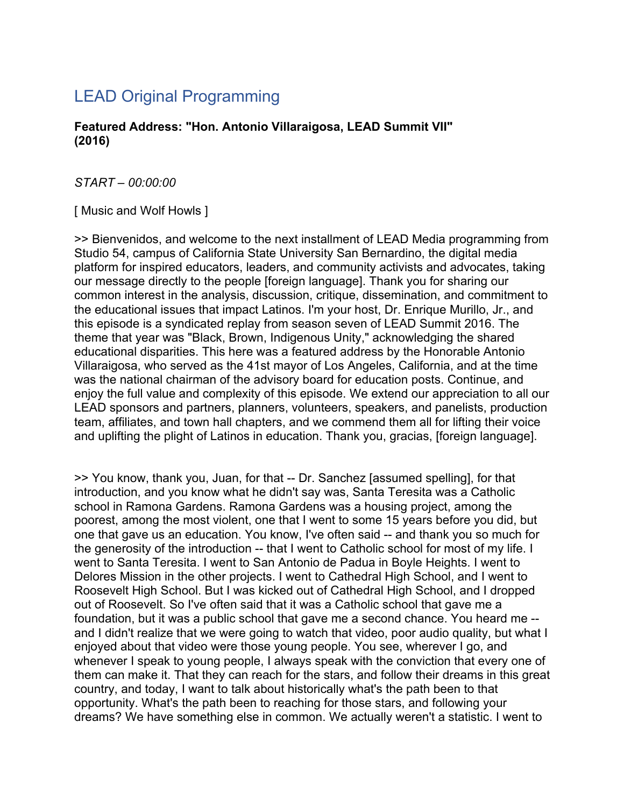# LEAD Original Programming

**Featured Address: "Hon. Antonio Villaraigosa, LEAD Summit VII" (2016)**

*START – 00:00:00*

[ Music and Wolf Howls ]

>> Bienvenidos, and welcome to the next installment of LEAD Media programming from Studio 54, campus of California State University San Bernardino, the digital media platform for inspired educators, leaders, and community activists and advocates, taking our message directly to the people [foreign language]. Thank you for sharing our common interest in the analysis, discussion, critique, dissemination, and commitment to the educational issues that impact Latinos. I'm your host, Dr. Enrique Murillo, Jr., and this episode is a syndicated replay from season seven of LEAD Summit 2016. The theme that year was "Black, Brown, Indigenous Unity," acknowledging the shared educational disparities. This here was a featured address by the Honorable Antonio Villaraigosa, who served as the 41st mayor of Los Angeles, California, and at the time was the national chairman of the advisory board for education posts. Continue, and enjoy the full value and complexity of this episode. We extend our appreciation to all our LEAD sponsors and partners, planners, volunteers, speakers, and panelists, production team, affiliates, and town hall chapters, and we commend them all for lifting their voice and uplifting the plight of Latinos in education. Thank you, gracias, [foreign language].

>> You know, thank you, Juan, for that -- Dr. Sanchez [assumed spelling], for that introduction, and you know what he didn't say was, Santa Teresita was a Catholic school in Ramona Gardens. Ramona Gardens was a housing project, among the poorest, among the most violent, one that I went to some 15 years before you did, but one that gave us an education. You know, I've often said -- and thank you so much for the generosity of the introduction -- that I went to Catholic school for most of my life. I went to Santa Teresita. I went to San Antonio de Padua in Boyle Heights. I went to Delores Mission in the other projects. I went to Cathedral High School, and I went to Roosevelt High School. But I was kicked out of Cathedral High School, and I dropped out of Roosevelt. So I've often said that it was a Catholic school that gave me a foundation, but it was a public school that gave me a second chance. You heard me - and I didn't realize that we were going to watch that video, poor audio quality, but what I enjoyed about that video were those young people. You see, wherever I go, and whenever I speak to young people, I always speak with the conviction that every one of them can make it. That they can reach for the stars, and follow their dreams in this great country, and today, I want to talk about historically what's the path been to that opportunity. What's the path been to reaching for those stars, and following your dreams? We have something else in common. We actually weren't a statistic. I went to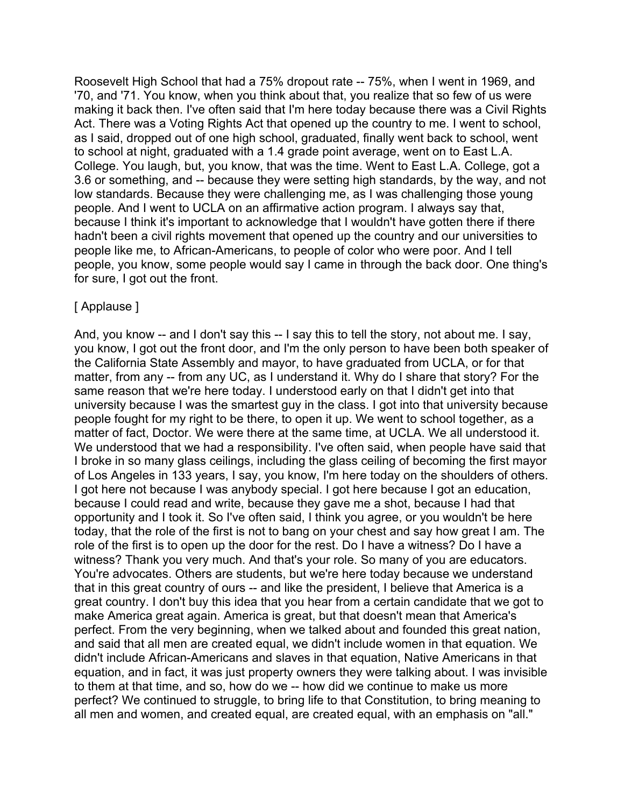Roosevelt High School that had a 75% dropout rate -- 75%, when I went in 1969, and '70, and '71. You know, when you think about that, you realize that so few of us were making it back then. I've often said that I'm here today because there was a Civil Rights Act. There was a Voting Rights Act that opened up the country to me. I went to school, as I said, dropped out of one high school, graduated, finally went back to school, went to school at night, graduated with a 1.4 grade point average, went on to East L.A. College. You laugh, but, you know, that was the time. Went to East L.A. College, got a 3.6 or something, and -- because they were setting high standards, by the way, and not low standards. Because they were challenging me, as I was challenging those young people. And I went to UCLA on an affirmative action program. I always say that, because I think it's important to acknowledge that I wouldn't have gotten there if there hadn't been a civil rights movement that opened up the country and our universities to people like me, to African-Americans, to people of color who were poor. And I tell people, you know, some people would say I came in through the back door. One thing's for sure, I got out the front.

#### [ Applause ]

And, you know -- and I don't say this -- I say this to tell the story, not about me. I say, you know, I got out the front door, and I'm the only person to have been both speaker of the California State Assembly and mayor, to have graduated from UCLA, or for that matter, from any -- from any UC, as I understand it. Why do I share that story? For the same reason that we're here today. I understood early on that I didn't get into that university because I was the smartest guy in the class. I got into that university because people fought for my right to be there, to open it up. We went to school together, as a matter of fact, Doctor. We were there at the same time, at UCLA. We all understood it. We understood that we had a responsibility. I've often said, when people have said that I broke in so many glass ceilings, including the glass ceiling of becoming the first mayor of Los Angeles in 133 years, I say, you know, I'm here today on the shoulders of others. I got here not because I was anybody special. I got here because I got an education, because I could read and write, because they gave me a shot, because I had that opportunity and I took it. So I've often said, I think you agree, or you wouldn't be here today, that the role of the first is not to bang on your chest and say how great I am. The role of the first is to open up the door for the rest. Do I have a witness? Do I have a witness? Thank you very much. And that's your role. So many of you are educators. You're advocates. Others are students, but we're here today because we understand that in this great country of ours -- and like the president, I believe that America is a great country. I don't buy this idea that you hear from a certain candidate that we got to make America great again. America is great, but that doesn't mean that America's perfect. From the very beginning, when we talked about and founded this great nation, and said that all men are created equal, we didn't include women in that equation. We didn't include African-Americans and slaves in that equation, Native Americans in that equation, and in fact, it was just property owners they were talking about. I was invisible to them at that time, and so, how do we -- how did we continue to make us more perfect? We continued to struggle, to bring life to that Constitution, to bring meaning to all men and women, and created equal, are created equal, with an emphasis on "all."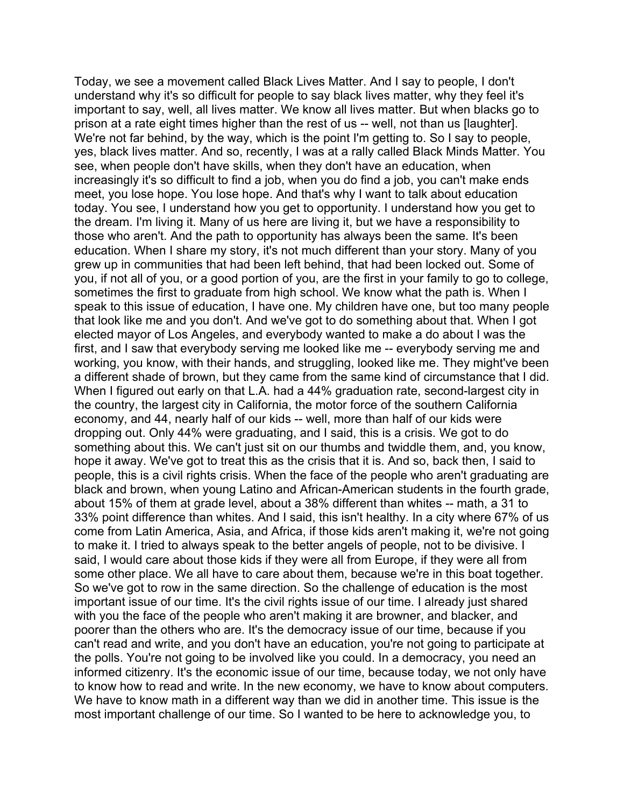Today, we see a movement called Black Lives Matter. And I say to people, I don't understand why it's so difficult for people to say black lives matter, why they feel it's important to say, well, all lives matter. We know all lives matter. But when blacks go to prison at a rate eight times higher than the rest of us -- well, not than us [laughter]. We're not far behind, by the way, which is the point I'm getting to. So I say to people, yes, black lives matter. And so, recently, I was at a rally called Black Minds Matter. You see, when people don't have skills, when they don't have an education, when increasingly it's so difficult to find a job, when you do find a job, you can't make ends meet, you lose hope. You lose hope. And that's why I want to talk about education today. You see, I understand how you get to opportunity. I understand how you get to the dream. I'm living it. Many of us here are living it, but we have a responsibility to those who aren't. And the path to opportunity has always been the same. It's been education. When I share my story, it's not much different than your story. Many of you grew up in communities that had been left behind, that had been locked out. Some of you, if not all of you, or a good portion of you, are the first in your family to go to college, sometimes the first to graduate from high school. We know what the path is. When I speak to this issue of education, I have one. My children have one, but too many people that look like me and you don't. And we've got to do something about that. When I got elected mayor of Los Angeles, and everybody wanted to make a do about I was the first, and I saw that everybody serving me looked like me -- everybody serving me and working, you know, with their hands, and struggling, looked like me. They might've been a different shade of brown, but they came from the same kind of circumstance that I did. When I figured out early on that L.A. had a 44% graduation rate, second-largest city in the country, the largest city in California, the motor force of the southern California economy, and 44, nearly half of our kids -- well, more than half of our kids were dropping out. Only 44% were graduating, and I said, this is a crisis. We got to do something about this. We can't just sit on our thumbs and twiddle them, and, you know, hope it away. We've got to treat this as the crisis that it is. And so, back then, I said to people, this is a civil rights crisis. When the face of the people who aren't graduating are black and brown, when young Latino and African-American students in the fourth grade, about 15% of them at grade level, about a 38% different than whites -- math, a 31 to 33% point difference than whites. And I said, this isn't healthy. In a city where 67% of us come from Latin America, Asia, and Africa, if those kids aren't making it, we're not going to make it. I tried to always speak to the better angels of people, not to be divisive. I said, I would care about those kids if they were all from Europe, if they were all from some other place. We all have to care about them, because we're in this boat together. So we've got to row in the same direction. So the challenge of education is the most important issue of our time. It's the civil rights issue of our time. I already just shared with you the face of the people who aren't making it are browner, and blacker, and poorer than the others who are. It's the democracy issue of our time, because if you can't read and write, and you don't have an education, you're not going to participate at the polls. You're not going to be involved like you could. In a democracy, you need an informed citizenry. It's the economic issue of our time, because today, we not only have to know how to read and write. In the new economy, we have to know about computers. We have to know math in a different way than we did in another time. This issue is the most important challenge of our time. So I wanted to be here to acknowledge you, to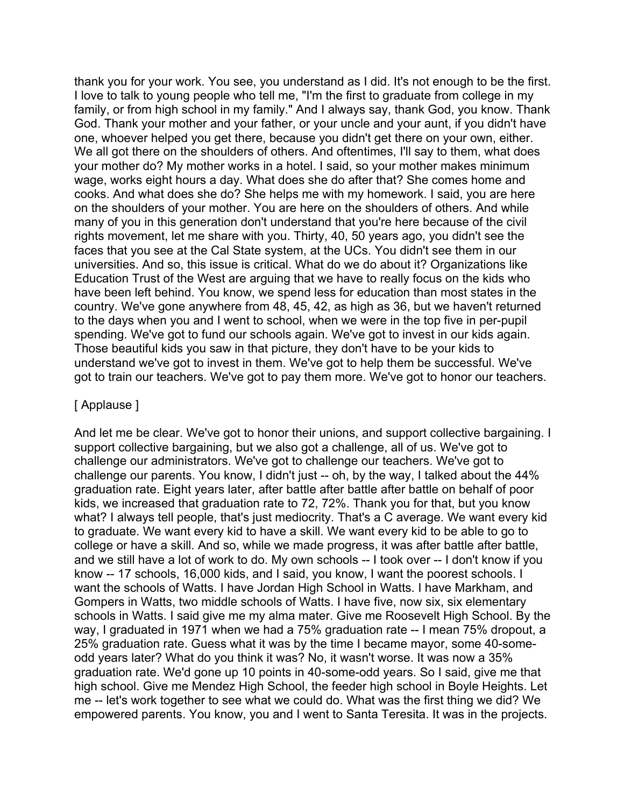thank you for your work. You see, you understand as I did. It's not enough to be the first. I love to talk to young people who tell me, "I'm the first to graduate from college in my family, or from high school in my family." And I always say, thank God, you know. Thank God. Thank your mother and your father, or your uncle and your aunt, if you didn't have one, whoever helped you get there, because you didn't get there on your own, either. We all got there on the shoulders of others. And oftentimes, I'll say to them, what does your mother do? My mother works in a hotel. I said, so your mother makes minimum wage, works eight hours a day. What does she do after that? She comes home and cooks. And what does she do? She helps me with my homework. I said, you are here on the shoulders of your mother. You are here on the shoulders of others. And while many of you in this generation don't understand that you're here because of the civil rights movement, let me share with you. Thirty, 40, 50 years ago, you didn't see the faces that you see at the Cal State system, at the UCs. You didn't see them in our universities. And so, this issue is critical. What do we do about it? Organizations like Education Trust of the West are arguing that we have to really focus on the kids who have been left behind. You know, we spend less for education than most states in the country. We've gone anywhere from 48, 45, 42, as high as 36, but we haven't returned to the days when you and I went to school, when we were in the top five in per-pupil spending. We've got to fund our schools again. We've got to invest in our kids again. Those beautiful kids you saw in that picture, they don't have to be your kids to understand we've got to invest in them. We've got to help them be successful. We've got to train our teachers. We've got to pay them more. We've got to honor our teachers.

#### [ Applause ]

And let me be clear. We've got to honor their unions, and support collective bargaining. I support collective bargaining, but we also got a challenge, all of us. We've got to challenge our administrators. We've got to challenge our teachers. We've got to challenge our parents. You know, I didn't just -- oh, by the way, I talked about the 44% graduation rate. Eight years later, after battle after battle after battle on behalf of poor kids, we increased that graduation rate to 72, 72%. Thank you for that, but you know what? I always tell people, that's just mediocrity. That's a C average. We want every kid to graduate. We want every kid to have a skill. We want every kid to be able to go to college or have a skill. And so, while we made progress, it was after battle after battle, and we still have a lot of work to do. My own schools -- I took over -- I don't know if you know -- 17 schools, 16,000 kids, and I said, you know, I want the poorest schools. I want the schools of Watts. I have Jordan High School in Watts. I have Markham, and Gompers in Watts, two middle schools of Watts. I have five, now six, six elementary schools in Watts. I said give me my alma mater. Give me Roosevelt High School. By the way, I graduated in 1971 when we had a 75% graduation rate -- I mean 75% dropout, a 25% graduation rate. Guess what it was by the time I became mayor, some 40-someodd years later? What do you think it was? No, it wasn't worse. It was now a 35% graduation rate. We'd gone up 10 points in 40-some-odd years. So I said, give me that high school. Give me Mendez High School, the feeder high school in Boyle Heights. Let me -- let's work together to see what we could do. What was the first thing we did? We empowered parents. You know, you and I went to Santa Teresita. It was in the projects.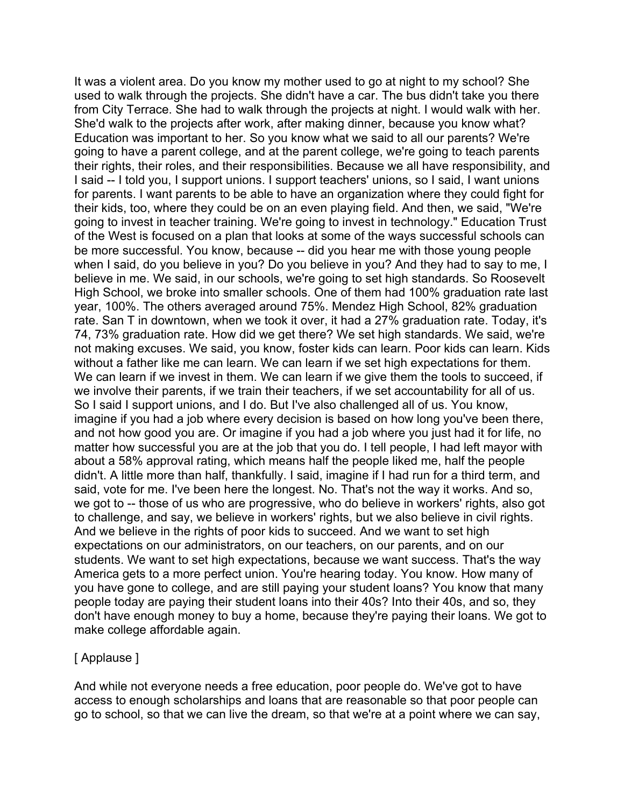It was a violent area. Do you know my mother used to go at night to my school? She used to walk through the projects. She didn't have a car. The bus didn't take you there from City Terrace. She had to walk through the projects at night. I would walk with her. She'd walk to the projects after work, after making dinner, because you know what? Education was important to her. So you know what we said to all our parents? We're going to have a parent college, and at the parent college, we're going to teach parents their rights, their roles, and their responsibilities. Because we all have responsibility, and I said -- I told you, I support unions. I support teachers' unions, so I said, I want unions for parents. I want parents to be able to have an organization where they could fight for their kids, too, where they could be on an even playing field. And then, we said, "We're going to invest in teacher training. We're going to invest in technology." Education Trust of the West is focused on a plan that looks at some of the ways successful schools can be more successful. You know, because -- did you hear me with those young people when I said, do you believe in you? Do you believe in you? And they had to say to me, I believe in me. We said, in our schools, we're going to set high standards. So Roosevelt High School, we broke into smaller schools. One of them had 100% graduation rate last year, 100%. The others averaged around 75%. Mendez High School, 82% graduation rate. San T in downtown, when we took it over, it had a 27% graduation rate. Today, it's 74, 73% graduation rate. How did we get there? We set high standards. We said, we're not making excuses. We said, you know, foster kids can learn. Poor kids can learn. Kids without a father like me can learn. We can learn if we set high expectations for them. We can learn if we invest in them. We can learn if we give them the tools to succeed, if we involve their parents, if we train their teachers, if we set accountability for all of us. So I said I support unions, and I do. But I've also challenged all of us. You know, imagine if you had a job where every decision is based on how long you've been there, and not how good you are. Or imagine if you had a job where you just had it for life, no matter how successful you are at the job that you do. I tell people, I had left mayor with about a 58% approval rating, which means half the people liked me, half the people didn't. A little more than half, thankfully. I said, imagine if I had run for a third term, and said, vote for me. I've been here the longest. No. That's not the way it works. And so, we got to -- those of us who are progressive, who do believe in workers' rights, also got to challenge, and say, we believe in workers' rights, but we also believe in civil rights. And we believe in the rights of poor kids to succeed. And we want to set high expectations on our administrators, on our teachers, on our parents, and on our students. We want to set high expectations, because we want success. That's the way America gets to a more perfect union. You're hearing today. You know. How many of you have gone to college, and are still paying your student loans? You know that many people today are paying their student loans into their 40s? Into their 40s, and so, they don't have enough money to buy a home, because they're paying their loans. We got to make college affordable again.

#### [ Applause ]

And while not everyone needs a free education, poor people do. We've got to have access to enough scholarships and loans that are reasonable so that poor people can go to school, so that we can live the dream, so that we're at a point where we can say,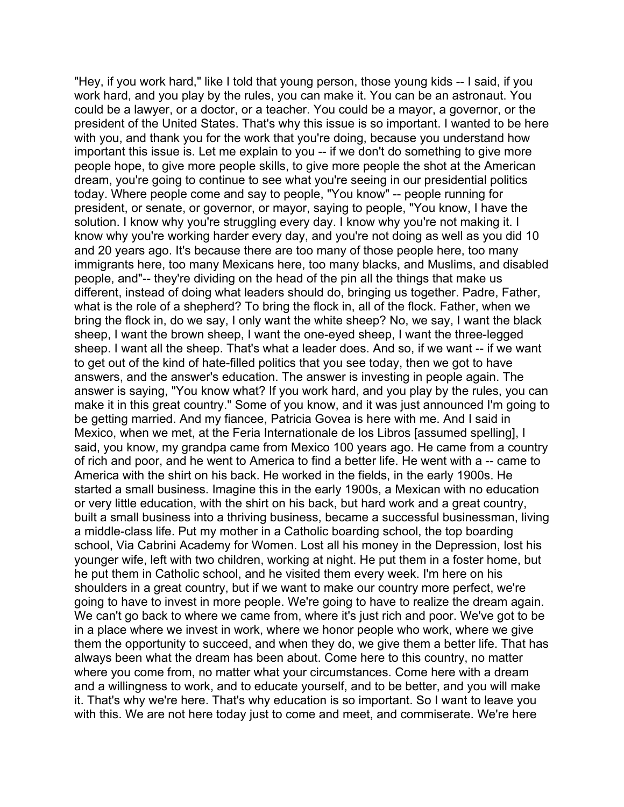"Hey, if you work hard," like I told that young person, those young kids -- I said, if you work hard, and you play by the rules, you can make it. You can be an astronaut. You could be a lawyer, or a doctor, or a teacher. You could be a mayor, a governor, or the president of the United States. That's why this issue is so important. I wanted to be here with you, and thank you for the work that you're doing, because you understand how important this issue is. Let me explain to you -- if we don't do something to give more people hope, to give more people skills, to give more people the shot at the American dream, you're going to continue to see what you're seeing in our presidential politics today. Where people come and say to people, "You know" -- people running for president, or senate, or governor, or mayor, saying to people, "You know, I have the solution. I know why you're struggling every day. I know why you're not making it. I know why you're working harder every day, and you're not doing as well as you did 10 and 20 years ago. It's because there are too many of those people here, too many immigrants here, too many Mexicans here, too many blacks, and Muslims, and disabled people, and"-- they're dividing on the head of the pin all the things that make us different, instead of doing what leaders should do, bringing us together. Padre, Father, what is the role of a shepherd? To bring the flock in, all of the flock. Father, when we bring the flock in, do we say, I only want the white sheep? No, we say, I want the black sheep, I want the brown sheep, I want the one-eyed sheep, I want the three-legged sheep. I want all the sheep. That's what a leader does. And so, if we want -- if we want to get out of the kind of hate-filled politics that you see today, then we got to have answers, and the answer's education. The answer is investing in people again. The answer is saying, "You know what? If you work hard, and you play by the rules, you can make it in this great country." Some of you know, and it was just announced I'm going to be getting married. And my fiancee, Patricia Govea is here with me. And I said in Mexico, when we met, at the Feria Internationale de los Libros [assumed spelling], I said, you know, my grandpa came from Mexico 100 years ago. He came from a country of rich and poor, and he went to America to find a better life. He went with a -- came to America with the shirt on his back. He worked in the fields, in the early 1900s. He started a small business. Imagine this in the early 1900s, a Mexican with no education or very little education, with the shirt on his back, but hard work and a great country, built a small business into a thriving business, became a successful businessman, living a middle-class life. Put my mother in a Catholic boarding school, the top boarding school, Via Cabrini Academy for Women. Lost all his money in the Depression, lost his younger wife, left with two children, working at night. He put them in a foster home, but he put them in Catholic school, and he visited them every week. I'm here on his shoulders in a great country, but if we want to make our country more perfect, we're going to have to invest in more people. We're going to have to realize the dream again. We can't go back to where we came from, where it's just rich and poor. We've got to be in a place where we invest in work, where we honor people who work, where we give them the opportunity to succeed, and when they do, we give them a better life. That has always been what the dream has been about. Come here to this country, no matter where you come from, no matter what your circumstances. Come here with a dream and a willingness to work, and to educate yourself, and to be better, and you will make it. That's why we're here. That's why education is so important. So I want to leave you with this. We are not here today just to come and meet, and commiserate. We're here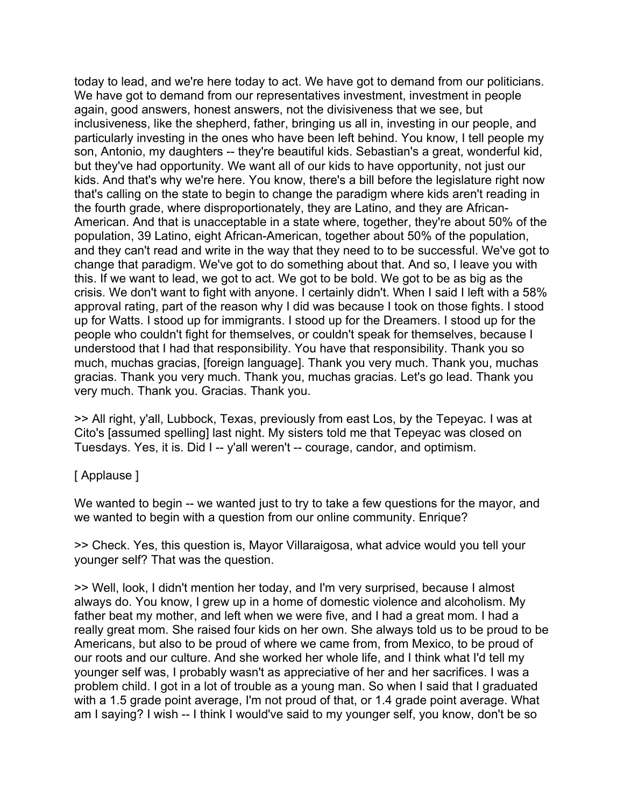today to lead, and we're here today to act. We have got to demand from our politicians. We have got to demand from our representatives investment, investment in people again, good answers, honest answers, not the divisiveness that we see, but inclusiveness, like the shepherd, father, bringing us all in, investing in our people, and particularly investing in the ones who have been left behind. You know, I tell people my son, Antonio, my daughters -- they're beautiful kids. Sebastian's a great, wonderful kid, but they've had opportunity. We want all of our kids to have opportunity, not just our kids. And that's why we're here. You know, there's a bill before the legislature right now that's calling on the state to begin to change the paradigm where kids aren't reading in the fourth grade, where disproportionately, they are Latino, and they are African-American. And that is unacceptable in a state where, together, they're about 50% of the population, 39 Latino, eight African-American, together about 50% of the population, and they can't read and write in the way that they need to to be successful. We've got to change that paradigm. We've got to do something about that. And so, I leave you with this. If we want to lead, we got to act. We got to be bold. We got to be as big as the crisis. We don't want to fight with anyone. I certainly didn't. When I said I left with a 58% approval rating, part of the reason why I did was because I took on those fights. I stood up for Watts. I stood up for immigrants. I stood up for the Dreamers. I stood up for the people who couldn't fight for themselves, or couldn't speak for themselves, because I understood that I had that responsibility. You have that responsibility. Thank you so much, muchas gracias, [foreign language]. Thank you very much. Thank you, muchas gracias. Thank you very much. Thank you, muchas gracias. Let's go lead. Thank you very much. Thank you. Gracias. Thank you.

>> All right, y'all, Lubbock, Texas, previously from east Los, by the Tepeyac. I was at Cito's [assumed spelling] last night. My sisters told me that Tepeyac was closed on Tuesdays. Yes, it is. Did I -- y'all weren't -- courage, candor, and optimism.

#### [ Applause ]

We wanted to begin -- we wanted just to try to take a few questions for the mayor, and we wanted to begin with a question from our online community. Enrique?

>> Check. Yes, this question is, Mayor Villaraigosa, what advice would you tell your younger self? That was the question.

>> Well, look, I didn't mention her today, and I'm very surprised, because I almost always do. You know, I grew up in a home of domestic violence and alcoholism. My father beat my mother, and left when we were five, and I had a great mom. I had a really great mom. She raised four kids on her own. She always told us to be proud to be Americans, but also to be proud of where we came from, from Mexico, to be proud of our roots and our culture. And she worked her whole life, and I think what I'd tell my younger self was, I probably wasn't as appreciative of her and her sacrifices. I was a problem child. I got in a lot of trouble as a young man. So when I said that I graduated with a 1.5 grade point average, I'm not proud of that, or 1.4 grade point average. What am I saying? I wish -- I think I would've said to my younger self, you know, don't be so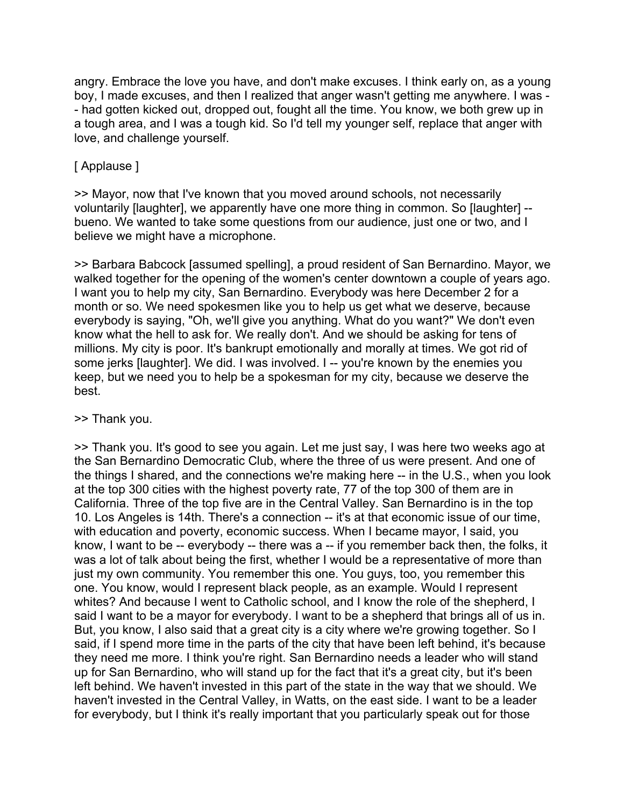angry. Embrace the love you have, and don't make excuses. I think early on, as a young boy, I made excuses, and then I realized that anger wasn't getting me anywhere. I was - - had gotten kicked out, dropped out, fought all the time. You know, we both grew up in a tough area, and I was a tough kid. So I'd tell my younger self, replace that anger with love, and challenge yourself.

### [ Applause ]

>> Mayor, now that I've known that you moved around schools, not necessarily voluntarily [laughter], we apparently have one more thing in common. So [laughter] - bueno. We wanted to take some questions from our audience, just one or two, and I believe we might have a microphone.

>> Barbara Babcock [assumed spelling], a proud resident of San Bernardino. Mayor, we walked together for the opening of the women's center downtown a couple of years ago. I want you to help my city, San Bernardino. Everybody was here December 2 for a month or so. We need spokesmen like you to help us get what we deserve, because everybody is saying, "Oh, we'll give you anything. What do you want?" We don't even know what the hell to ask for. We really don't. And we should be asking for tens of millions. My city is poor. It's bankrupt emotionally and morally at times. We got rid of some jerks [laughter]. We did. I was involved. I -- you're known by the enemies you keep, but we need you to help be a spokesman for my city, because we deserve the best.

#### >> Thank you.

>> Thank you. It's good to see you again. Let me just say, I was here two weeks ago at the San Bernardino Democratic Club, where the three of us were present. And one of the things I shared, and the connections we're making here -- in the U.S., when you look at the top 300 cities with the highest poverty rate, 77 of the top 300 of them are in California. Three of the top five are in the Central Valley. San Bernardino is in the top 10. Los Angeles is 14th. There's a connection -- it's at that economic issue of our time, with education and poverty, economic success. When I became mayor, I said, you know, I want to be -- everybody -- there was a -- if you remember back then, the folks, it was a lot of talk about being the first, whether I would be a representative of more than just my own community. You remember this one. You guys, too, you remember this one. You know, would I represent black people, as an example. Would I represent whites? And because I went to Catholic school, and I know the role of the shepherd, I said I want to be a mayor for everybody. I want to be a shepherd that brings all of us in. But, you know, I also said that a great city is a city where we're growing together. So I said, if I spend more time in the parts of the city that have been left behind, it's because they need me more. I think you're right. San Bernardino needs a leader who will stand up for San Bernardino, who will stand up for the fact that it's a great city, but it's been left behind. We haven't invested in this part of the state in the way that we should. We haven't invested in the Central Valley, in Watts, on the east side. I want to be a leader for everybody, but I think it's really important that you particularly speak out for those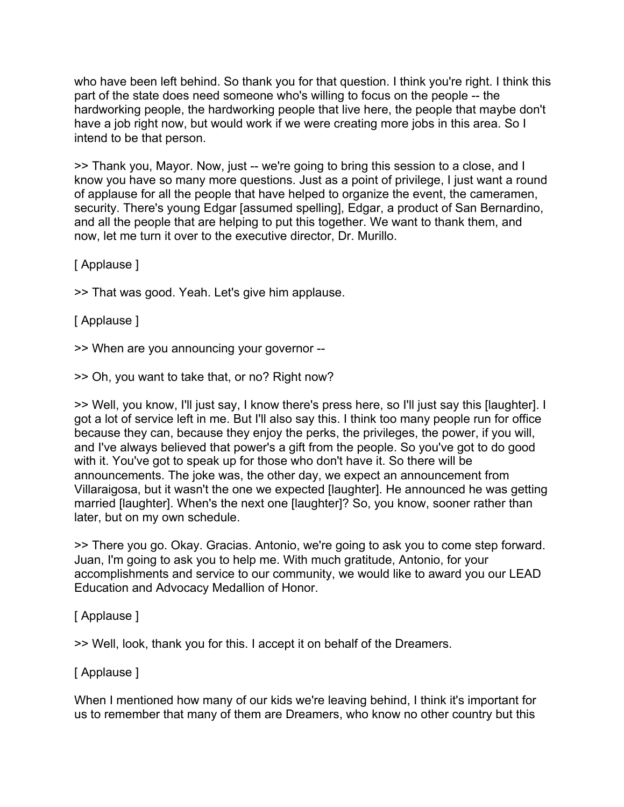who have been left behind. So thank you for that question. I think you're right. I think this part of the state does need someone who's willing to focus on the people -- the hardworking people, the hardworking people that live here, the people that maybe don't have a job right now, but would work if we were creating more jobs in this area. So I intend to be that person.

>> Thank you, Mayor. Now, just -- we're going to bring this session to a close, and I know you have so many more questions. Just as a point of privilege, I just want a round of applause for all the people that have helped to organize the event, the cameramen, security. There's young Edgar [assumed spelling], Edgar, a product of San Bernardino, and all the people that are helping to put this together. We want to thank them, and now, let me turn it over to the executive director, Dr. Murillo.

[ Applause ]

>> That was good. Yeah. Let's give him applause.

[ Applause ]

>> When are you announcing your governor --

>> Oh, you want to take that, or no? Right now?

>> Well, you know, I'll just say, I know there's press here, so I'll just say this [laughter]. I got a lot of service left in me. But I'll also say this. I think too many people run for office because they can, because they enjoy the perks, the privileges, the power, if you will, and I've always believed that power's a gift from the people. So you've got to do good with it. You've got to speak up for those who don't have it. So there will be announcements. The joke was, the other day, we expect an announcement from Villaraigosa, but it wasn't the one we expected [laughter]. He announced he was getting married [laughter]. When's the next one [laughter]? So, you know, sooner rather than later, but on my own schedule.

>> There you go. Okay. Gracias. Antonio, we're going to ask you to come step forward. Juan, I'm going to ask you to help me. With much gratitude, Antonio, for your accomplishments and service to our community, we would like to award you our LEAD Education and Advocacy Medallion of Honor.

#### [ Applause ]

>> Well, look, thank you for this. I accept it on behalf of the Dreamers.

## [ Applause ]

When I mentioned how many of our kids we're leaving behind, I think it's important for us to remember that many of them are Dreamers, who know no other country but this